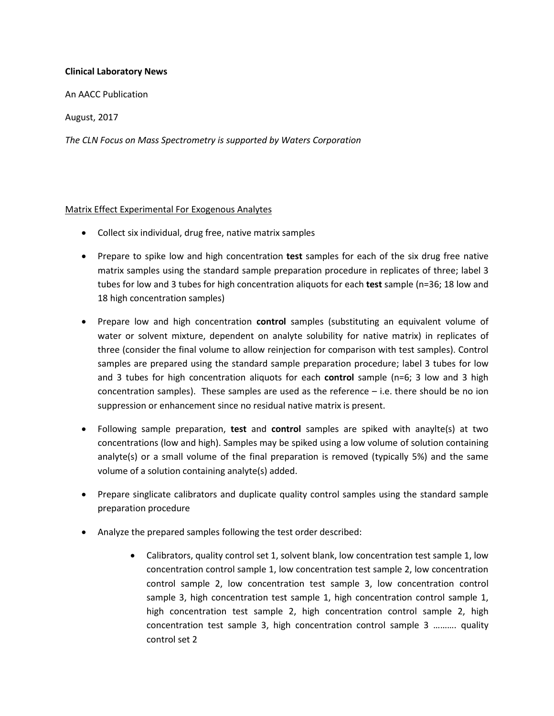### **Clinical Laboratory News**

An AACC Publication

August, 2017

*The CLN Focus on Mass Spectrometry is supported by Waters Corporation*

### Matrix Effect Experimental For Exogenous Analytes

- Collect six individual, drug free, native matrix samples
- Prepare to spike low and high concentration **test** samples for each of the six drug free native matrix samples using the standard sample preparation procedure in replicates of three; label 3 tubes for low and 3 tubes for high concentration aliquots for each **test** sample (n=36; 18 low and 18 high concentration samples)
- Prepare low and high concentration **control** samples (substituting an equivalent volume of water or solvent mixture, dependent on analyte solubility for native matrix) in replicates of three (consider the final volume to allow reinjection for comparison with test samples). Control samples are prepared using the standard sample preparation procedure; label 3 tubes for low and 3 tubes for high concentration aliquots for each **control** sample (n=6; 3 low and 3 high concentration samples). These samples are used as the reference – i.e. there should be no ion suppression or enhancement since no residual native matrix is present.
- Following sample preparation, **test** and **control** samples are spiked with anaylte(s) at two concentrations (low and high). Samples may be spiked using a low volume of solution containing analyte(s) or a small volume of the final preparation is removed (typically 5%) and the same volume of a solution containing analyte(s) added.
- Prepare singlicate calibrators and duplicate quality control samples using the standard sample preparation procedure
- Analyze the prepared samples following the test order described:
	- Calibrators, quality control set 1, solvent blank, low concentration test sample 1, low concentration control sample 1, low concentration test sample 2, low concentration control sample 2, low concentration test sample 3, low concentration control sample 3, high concentration test sample 1, high concentration control sample 1, high concentration test sample 2, high concentration control sample 2, high concentration test sample 3, high concentration control sample 3 ………. quality control set 2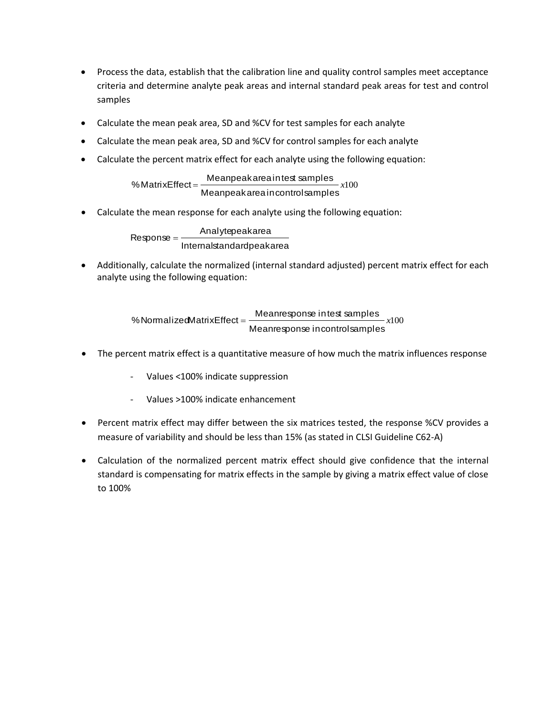- Process the data, establish that the calibration line and quality control samples meet acceptance criteria and determine analyte peak areas and internal standard peak areas for test and control samples
- Calculate the mean peak area, SD and %CV for test samples for each analyte
- Calculate the mean peak area, SD and %CV for control samples for each analyte
- Calculate the percent matrix effect for each analyte using the following equation:

*x*100 Meanpeakareaintest samples<br>Meanpeakareaincontrolsamples e the percent matrix effect for each analyte using t<br>%MatrixEffect = \_Meanpeakareaintest samples

Calculate the mean response for each analyte using the following equation:

Internalstandardpeakarea Analytepeakarea  $Response =$  —

 Additionally, calculate the normalized (internal standard adjusted) percent matrix effect for each analyte using the following equation:

> *x*100 Meanresponse intest samples<br>Meanresponse incontrolsamples Meanresponse i ntest samples %NormalizedMatrix Effect

- The percent matrix effect is a quantitative measure of how much the matrix influences response
	- Values <100% indicate suppression
	- Values >100% indicate enhancement
- Percent matrix effect may differ between the six matrices tested, the response %CV provides a measure of variability and should be less than 15% (as stated in CLSI Guideline C62-A)
- Calculation of the normalized percent matrix effect should give confidence that the internal standard is compensating for matrix effects in the sample by giving a matrix effect value of close to 100%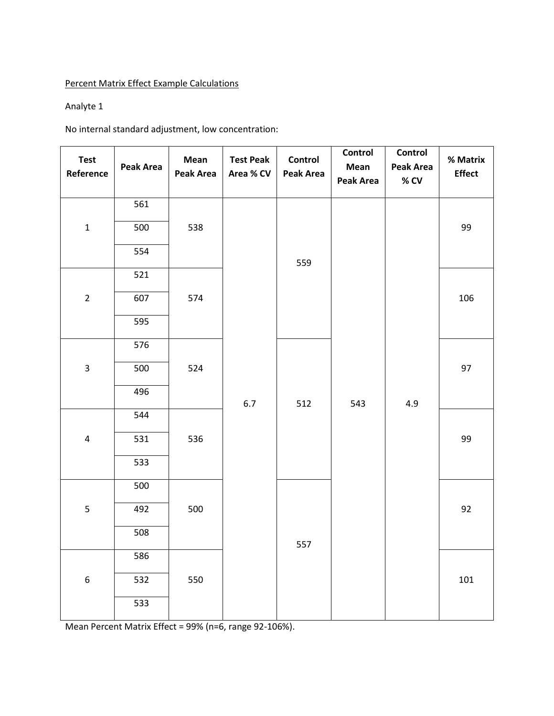# Percent Matrix Effect Example Calculations

# Analyte 1

No internal standard adjustment, low concentration:

| <b>Test</b><br>Reference | Peak Area | Mean<br><b>Peak Area</b> | <b>Test Peak</b><br>Area % CV | Control<br><b>Peak Area</b> | Control<br>Mean<br><b>Peak Area</b> | Control<br><b>Peak Area</b><br>$\%$ CV | % Matrix<br><b>Effect</b> |    |
|--------------------------|-----------|--------------------------|-------------------------------|-----------------------------|-------------------------------------|----------------------------------------|---------------------------|----|
|                          | 561       |                          |                               |                             |                                     |                                        |                           |    |
| $\mathbf 1$              | 500       | 538                      |                               |                             |                                     |                                        | 99                        |    |
|                          | 554       |                          |                               | 559                         |                                     |                                        |                           |    |
|                          | 521       |                          |                               |                             |                                     |                                        |                           |    |
| $\overline{2}$           | 607       | 574                      |                               |                             |                                     |                                        | 106                       |    |
|                          | 595       |                          |                               |                             |                                     |                                        |                           |    |
|                          | 576       | 524                      |                               |                             |                                     |                                        |                           |    |
| $\mathbf{3}$             | 500       |                          | 6.7                           | 512                         | 543                                 | 4.9                                    | 97                        |    |
|                          | 496       |                          |                               |                             |                                     |                                        |                           |    |
|                          | 544       | 536                      |                               |                             |                                     |                                        |                           |    |
| $\overline{4}$           | 531       |                          |                               |                             |                                     |                                        | 99                        |    |
|                          | 533       |                          |                               |                             |                                     |                                        |                           |    |
|                          | 500       | 500                      |                               |                             |                                     |                                        |                           |    |
| 5                        | 492       |                          |                               |                             |                                     |                                        |                           | 92 |
|                          | 508       |                          |                               | 557                         |                                     |                                        |                           |    |
|                          | 586       |                          |                               |                             |                                     |                                        |                           |    |
| $\boldsymbol{6}$         | 532       | 550                      |                               |                             |                                     |                                        | 101                       |    |
|                          | 533       |                          |                               |                             |                                     |                                        |                           |    |

Mean Percent Matrix Effect = 99% (n=6, range 92-106%).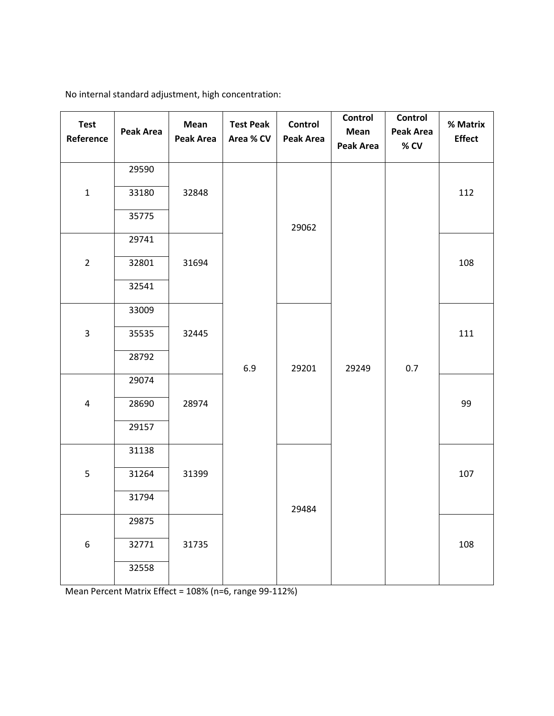| <b>Test</b><br>Reference | <b>Peak Area</b> | Mean<br>Peak Area | <b>Test Peak</b><br>Area % CV | <b>Control</b><br><b>Peak Area</b> | Control<br>Mean<br><b>Peak Area</b> | Control<br>Peak Area<br>% CV | % Matrix<br><b>Effect</b> |
|--------------------------|------------------|-------------------|-------------------------------|------------------------------------|-------------------------------------|------------------------------|---------------------------|
|                          | 29590            |                   |                               |                                    |                                     |                              |                           |
| $\mathbf 1$              | 33180            | 32848             |                               |                                    |                                     |                              | 112                       |
|                          | 35775            |                   |                               | 29062                              |                                     |                              |                           |
|                          | 29741            |                   |                               |                                    |                                     |                              |                           |
| $\overline{2}$           | 32801            | 31694             |                               |                                    |                                     |                              | 108                       |
|                          | 32541            |                   |                               |                                    |                                     |                              |                           |
|                          | 33009            |                   |                               |                                    |                                     |                              |                           |
| $\mathbf{3}$             | 35535            | 32445             |                               |                                    |                                     |                              | 111                       |
|                          | 28792            |                   | 6.9                           | 29201                              | 29249                               | 0.7                          |                           |
|                          | 29074            |                   |                               |                                    |                                     |                              |                           |
| 4                        | 28690            | 28974             |                               |                                    |                                     |                              | 99                        |
|                          | 29157            |                   |                               |                                    |                                     |                              |                           |
|                          | 31138            |                   |                               |                                    |                                     |                              |                           |
| 5                        | 31264            | 31399             |                               |                                    |                                     |                              | 107                       |
|                          | 31794            |                   |                               | 29484                              |                                     |                              |                           |
|                          | 29875            |                   |                               |                                    |                                     |                              |                           |
| $\boldsymbol{6}$         | 32771            | 31735             |                               |                                    |                                     |                              | 108                       |
|                          | 32558            |                   |                               |                                    |                                     |                              |                           |

No internal standard adjustment, high concentration:

Mean Percent Matrix Effect = 108% (n=6, range 99-112%)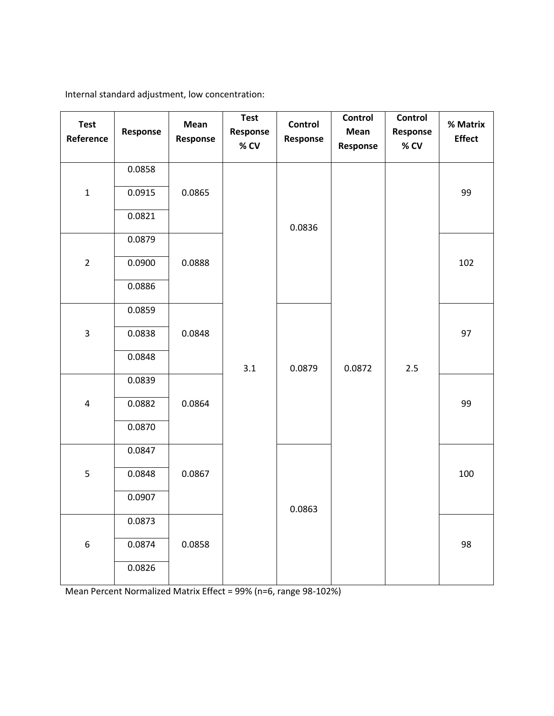Internal standard adjustment, low concentration:

| <b>Test</b><br>Reference | Response | Mean<br>Response | <b>Test</b><br>Response<br>% CV | Control<br>Response | <b>Control</b><br>Mean<br>Response | Control<br>Response<br>% CV | % Matrix<br><b>Effect</b> |    |
|--------------------------|----------|------------------|---------------------------------|---------------------|------------------------------------|-----------------------------|---------------------------|----|
|                          | 0.0858   |                  |                                 |                     |                                    |                             |                           |    |
| $\mathbf 1$              | 0.0915   | 0.0865           |                                 |                     |                                    |                             | 99                        |    |
|                          | 0.0821   |                  |                                 | 0.0836              |                                    |                             |                           |    |
|                          | 0.0879   |                  |                                 |                     |                                    |                             |                           |    |
| $\overline{2}$           | 0.0900   | 0.0888           |                                 |                     |                                    |                             | 102                       |    |
|                          | 0.0886   |                  |                                 |                     |                                    |                             |                           |    |
|                          | 0.0859   |                  |                                 |                     |                                    |                             |                           |    |
| $\overline{3}$           | 0.0838   | 0.0848           |                                 |                     |                                    |                             | 97                        |    |
|                          | 0.0848   |                  |                                 | 3.1                 | 0.0879                             | 0.0872                      | 2.5                       |    |
|                          | 0.0839   | 0.0864           |                                 |                     |                                    |                             |                           |    |
| $\pmb{4}$                | 0.0882   |                  |                                 |                     |                                    |                             |                           | 99 |
|                          | 0.0870   |                  |                                 |                     |                                    |                             |                           |    |
|                          | 0.0847   |                  |                                 |                     |                                    |                             |                           |    |
| 5                        | 0.0848   | 0.0867           |                                 |                     |                                    |                             | 100                       |    |
|                          | 0.0907   |                  |                                 | 0.0863              |                                    |                             |                           |    |
|                          | 0.0873   |                  |                                 |                     |                                    |                             |                           |    |
| $\boldsymbol{6}$         | 0.0874   | 0.0858           |                                 |                     |                                    |                             | 98                        |    |
|                          | 0.0826   |                  |                                 |                     |                                    |                             |                           |    |

Mean Percent Normalized Matrix Effect = 99% (n=6, range 98-102%)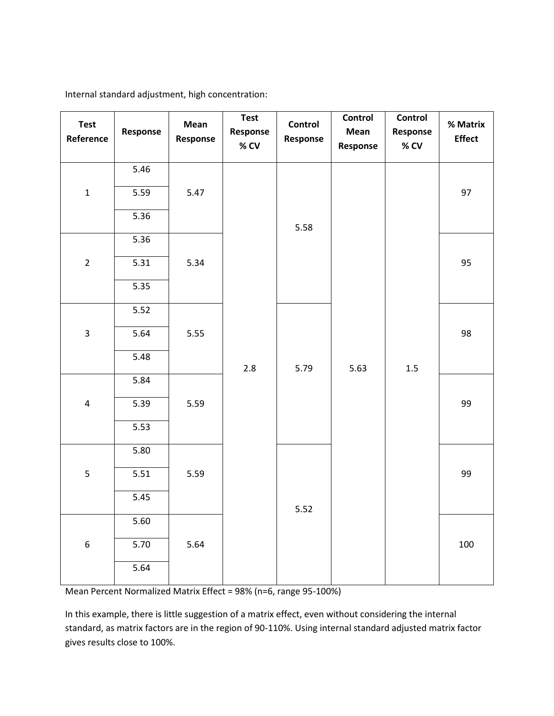| <b>Test</b><br>Reference | Response | Mean<br>Response | <b>Test</b><br>Response<br>$%$ CV | Control<br>Response | Control<br>Mean<br>Response | Control<br>Response<br>% CV | % Matrix<br><b>Effect</b> |
|--------------------------|----------|------------------|-----------------------------------|---------------------|-----------------------------|-----------------------------|---------------------------|
|                          | 5.46     |                  |                                   |                     |                             |                             |                           |
| $\mathbf 1$              | 5.59     | 5.47             |                                   |                     |                             |                             | 97                        |
|                          | 5.36     |                  |                                   | 5.58                |                             |                             |                           |
|                          | 5.36     |                  |                                   |                     |                             |                             |                           |
| $\overline{2}$           | 5.31     | 5.34             |                                   |                     |                             |                             | 95                        |
|                          | 5.35     |                  |                                   |                     |                             | 1.5                         |                           |
|                          | 5.52     |                  |                                   |                     | 5.63                        |                             |                           |
| $\overline{3}$           | 5.64     | 5.55             | 2.8                               | 5.79                |                             |                             | 98                        |
|                          | 5.48     |                  |                                   |                     |                             |                             |                           |
|                          | 5.84     |                  |                                   |                     |                             |                             |                           |
| $\pmb{4}$                | 5.39     | 5.59             |                                   |                     |                             |                             | 99                        |
|                          | 5.53     |                  |                                   |                     |                             |                             |                           |
|                          | 5.80     |                  |                                   |                     |                             |                             |                           |
| 5                        | 5.51     | 5.59             |                                   |                     |                             |                             | 99                        |
|                          | 5.45     |                  |                                   | 5.52                |                             |                             |                           |
|                          | 5.60     |                  |                                   |                     |                             |                             |                           |
| $\boldsymbol{6}$         | 5.70     | 5.64             |                                   |                     |                             |                             | 100                       |
|                          | 5.64     |                  |                                   |                     |                             |                             |                           |

Internal standard adjustment, high concentration:

Mean Percent Normalized Matrix Effect = 98% (n=6, range 95-100%)

In this example, there is little suggestion of a matrix effect, even without considering the internal standard, as matrix factors are in the region of 90-110%. Using internal standard adjusted matrix factor gives results close to 100%.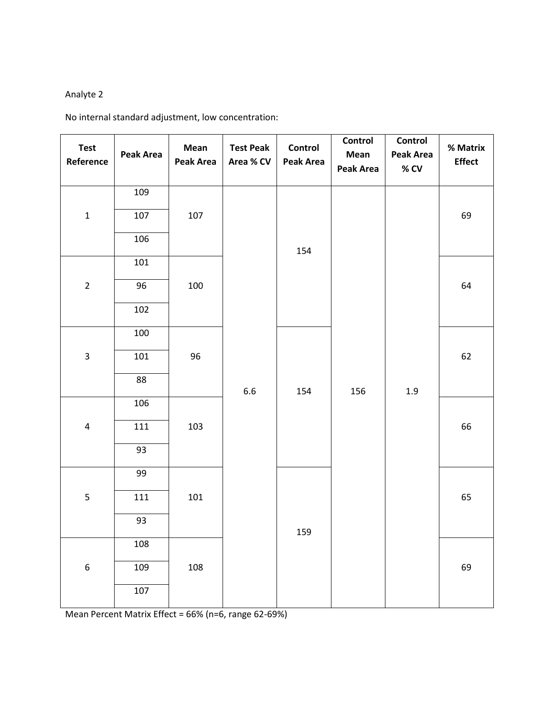# Analyte 2

No internal standard adjustment, low concentration:

| <b>Test</b><br>Reference | <b>Peak Area</b> | Mean<br><b>Peak Area</b> | <b>Test Peak</b><br>Area % CV | Control<br><b>Peak Area</b> | Control<br>Mean<br><b>Peak Area</b> | Control<br>Peak Area<br>$\%$ CV | % Matrix<br><b>Effect</b> |
|--------------------------|------------------|--------------------------|-------------------------------|-----------------------------|-------------------------------------|---------------------------------|---------------------------|
|                          | 109              |                          |                               |                             |                                     |                                 |                           |
| $\mathbf 1$              | 107              | 107                      |                               |                             |                                     |                                 | 69                        |
|                          | 106              |                          |                               | 154                         |                                     |                                 |                           |
|                          | 101              |                          |                               |                             |                                     |                                 |                           |
| $\overline{2}$           | 96               | 100                      |                               |                             |                                     |                                 | 64                        |
|                          | 102              |                          |                               |                             |                                     |                                 |                           |
|                          | 100              | 96                       |                               |                             |                                     |                                 |                           |
| $\mathbf{3}$             | 101              |                          | 6.6                           | 154                         | 156                                 | $1.9\,$                         | 62                        |
|                          | 88               |                          |                               |                             |                                     |                                 |                           |
|                          | 106              | 103                      |                               |                             |                                     |                                 |                           |
| $\overline{\mathbf{4}}$  | 111              |                          |                               |                             |                                     |                                 | 66                        |
|                          | 93               |                          |                               |                             |                                     |                                 |                           |
|                          | 99               | 101                      |                               |                             |                                     |                                 |                           |
| 5                        | 111              |                          |                               | 159                         |                                     |                                 | 65                        |
|                          | 93               |                          |                               |                             |                                     |                                 |                           |
|                          | 108              |                          |                               |                             |                                     |                                 |                           |
| $\boldsymbol{6}$         | 109              | 108                      |                               |                             |                                     |                                 | 69                        |
|                          | 107              |                          |                               |                             |                                     |                                 |                           |

Mean Percent Matrix Effect = 66% (n=6, range 62-69%)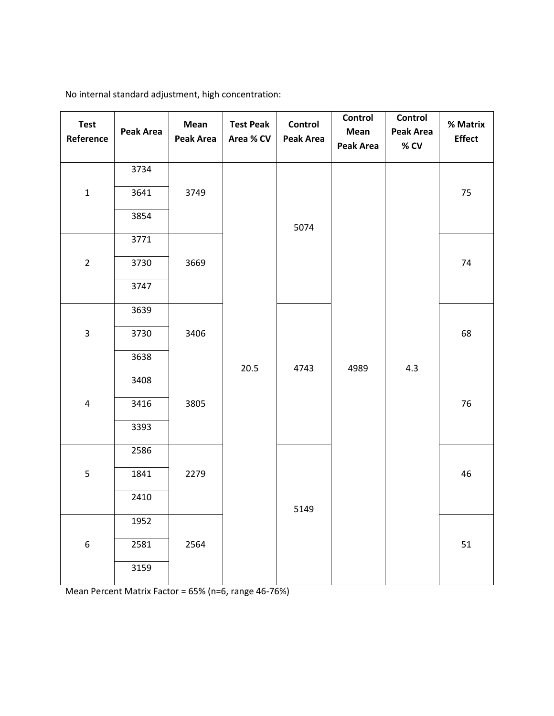| <b>Test</b><br>Reference | Peak Area | Mean<br><b>Peak Area</b> | <b>Test Peak</b><br>Area % CV | Control<br>Peak Area | Control<br>Mean<br><b>Peak Area</b> | Control<br><b>Peak Area</b><br>$%$ CV | % Matrix<br><b>Effect</b> |  |  |  |  |
|--------------------------|-----------|--------------------------|-------------------------------|----------------------|-------------------------------------|---------------------------------------|---------------------------|--|--|--|--|
|                          | 3734      |                          |                               |                      |                                     |                                       |                           |  |  |  |  |
| $\mathbf{1}$             | 3641      | 3749                     |                               |                      |                                     |                                       | 75                        |  |  |  |  |
|                          | 3854      |                          |                               | 5074                 |                                     |                                       |                           |  |  |  |  |
|                          | 3771      |                          |                               |                      |                                     |                                       |                           |  |  |  |  |
| $\overline{2}$           | 3730      | 3669                     |                               |                      |                                     |                                       | 74                        |  |  |  |  |
|                          | 3747      |                          |                               |                      |                                     |                                       |                           |  |  |  |  |
|                          | 3639      | 3406                     |                               |                      |                                     |                                       |                           |  |  |  |  |
| $\mathbf{3}$             | 3730      |                          |                               | 4743                 | 4989                                | 4.3                                   | 68                        |  |  |  |  |
|                          | 3638      |                          | 20.5                          |                      |                                     |                                       |                           |  |  |  |  |
|                          | 3408      |                          |                               |                      |                                     |                                       |                           |  |  |  |  |
| $\overline{a}$           | 3416      | 3805                     |                               |                      |                                     |                                       | 76                        |  |  |  |  |
|                          | 3393      |                          |                               |                      |                                     |                                       |                           |  |  |  |  |
|                          | 2586      |                          |                               |                      |                                     |                                       |                           |  |  |  |  |
| 5                        | 1841      | 2279                     |                               |                      |                                     |                                       | 46                        |  |  |  |  |
|                          | 2410      |                          |                               | 5149                 |                                     |                                       |                           |  |  |  |  |
|                          | 1952      |                          |                               |                      |                                     |                                       |                           |  |  |  |  |
| $\boldsymbol{6}$         | 2581      | 2564                     |                               |                      |                                     |                                       | 51                        |  |  |  |  |
|                          | 3159      |                          |                               |                      |                                     |                                       |                           |  |  |  |  |

No internal standard adjustment, high concentration:

Mean Percent Matrix Factor = 65% (n=6, range 46-76%)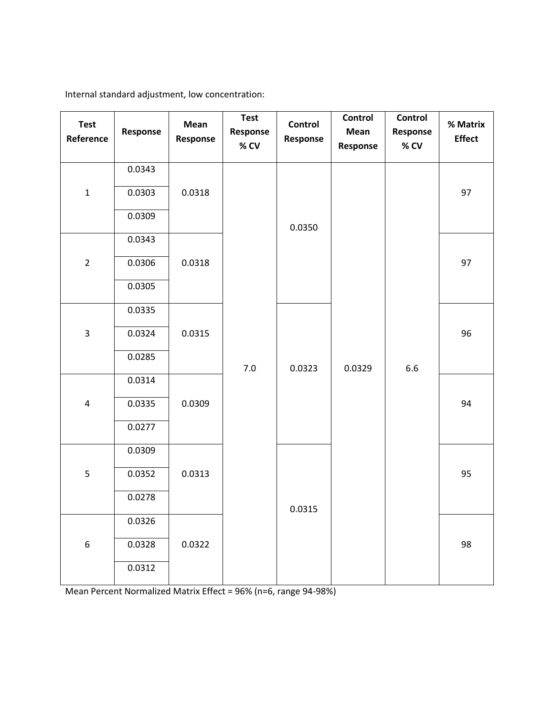**Test Reference Response Mean Response Test Response % CV Control Response Control Mean Response Control Response % CV % Matrix Effect** 1 0.0343 0.0318 7.0 0.0350  $0.0329$  6.6 0.0303 | 0.0318 | | | | | | | 97 0.0309 2 0.0343 0.0306 0.0318 97 0.0305 3 0.0335 0.0315 0.0323 0.0324 | 0.0315 | | | | | | | 96 0.0285 4 0.0314 0.0335 0.0309 94 0.0277 5 0.0309 0.0313 0.0315 0.0352 | 0.0313 | | | | | | | 95 0.0278 6 0.0326 0.0328 0.0322 98 0.0312

Internal standard adjustment, low concentration:

Mean Percent Normalized Matrix Effect = 96% (n=6, range 94-98%)